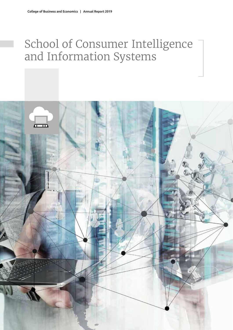# School of Consumer Intelligence and Information Systems

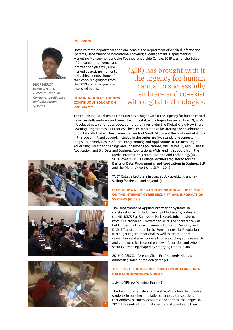## **Overview**

Home to three departments and one centre, the Department of Applied Information Systems, Department of Information Knowledge Management, Department of Marketing Management and the Technopreneurship Centre, 2019 was for the School

of Consumer Intelligence and Information Systems (SCiiS) marked by exciting moments and achievements. Some of the School's highlights from the 2019 academic year are discussed below.

## **Introduction of the new continuous education programmes**

(4IR) has brought with it the urgency for human capital to successfully embrace and co-exist with digital technologies.

The Fourth Industrial Revolution (4IR) has brought with it the urgency for human capital to successfully embrace and co-exist with digital technologies like never. In 2019, SCiiS introduced new continuous education programmes under the Digital Know-How Short Learning Programmes (SLP) series. The SLPs are aimed at facilitating the development of digital skills that will best serve the needs of South Africa and the continent of Africa in this age of 4IR and beyond. Included in the series are five standalone semesterlong SLPs, namely Basics of Data, Programming and Applications in Business, Digital Advertising, Internet-of-Things and Consumer Applications, Virtual Reality and Business Application, and Big Data and Business Applications. With funding support from the







Media Information, Communication and Technology (MICT) SETA, over 90 TVET College lecturers registered for the Basics of Data, Programming and Applications in Business SLP and the Digital Advertising SLP in 2019.

TVET College Lecturers in class at UJ - up-skilling and reskilling for the 4IR and beyond (1)

# **Co -hosting of the 4th International Conference on the Internet, Cyber Security and Information Systems (ICICSIS)**

The Department of Applied Information Systems, in collaboration with the University of Botswana, co-hosted the 4th ICICSIS at Sunnyside Park Hotel, Johannesburg, from 31 October to 1 November 2019. The conference was held under the theme 'Business Information Security and Digital Transformation in the Fourth Industrial Revolution'. It brought together national as well as international researchers and practitioners to share cutting edge research and good practice focused on how information and cyber security are being shaped by emerging trends in 4IR.

2019 ICICSIS Conference Chair, Prof Kennedy Njenga, addressing some of the delegates (2)

# **The SCiiS Technopreneurship Centre going on a Hackathon winning streak**

#Living4IRHack Winning Team. (3)

The Technopreneurship Centre at SCiiS is a hub that involves students in building innovative technological solutions that address business, economic and societal challenges. In 2019, the Centre through its teams of students and their

**Prof Mercy Mpinganjira** *Director: School of Consumer Intelligence and Information Systems*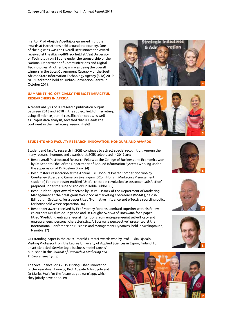mentor Prof Abejide Ade-Ibijola garnered multiple awards at Hackathons held around the country. One of the big wins was the Overall Best Innovation Award received at the #Living4IRHack held at Vaal University of Technology on 28 June under the sponsorship of the National Department of Communications and Digital Technologies. Another big win was being the overall winners in the Local Government Category of the South African State Information Technology Agency (SITA) 2019 NDP Hackathon held at Durban Convention Centre in October 2019.

## **UJ marketing, officially the most impactful researchers in Africa**

A recent analysis of UJ research publication output between 2013 and 2018 in the subject field of marketing, using all science journal classification codes, as well as Scopus data analysis, revealed that UJ leads the continent in the marketing research field!





#### **Students and Faculty Research, Innovation, Honours and Awards**

Student and faculty research in SCiiS continues to attract special recognition. Among the many research honours and awards that SCiiS celebrated in 2019 are:

- Best overall Postdoctoral Research Fellow at the College of Business and Economics won by Dr Kenneth Ohei of the Department of Applied Information Systems working under the supervision of Dr Roelien Brink. (4)
- Best Poster Presentation at the Annual CBE Honours Poster Competition won by Courteney Stuart and Cameron Sivalingam (BCom Hons in Marketing Management students) for their poster entitled 'Useful chatbots revolutionise customer satisfaction' prepared under the supervision of Dr Isolde Lubbe. (5)
- Best Student Paper Award received by Dr Paul Issock of the Department of Marketing Management at the prestigious World Social Marketing Conference (WSMC), held in Edinburgh, Scotland, for a paper titled 'Normative influence and effective recycling policy for household waste separation'. (6)
- Best paper award received by Prof Mornay Roberts-Lombard together with his fellow co-authors Dr Olumide Jaiyeoba and Dr Douglas Svotwa of Botswana for a paper titled 'Predicting entrepreneurial intentions from entrepreneurial self-efficacy and entrepreneurs' personal characteristics: A Botswana perspective', presented at the International Conference on Business and Management Dynamics, held in Swakopmund, Namibia. (7)

Outstanding paper in the 2019 Emerald Literati awards won by Prof Jukka Ojasalo, Visiting Professor from the Laurea University of Applied Sciences in Espoo, Finland, for an article titled 'Service logic business model canvas', published in the *Journal of Research in Marketing and Entrepreneurship*. (8)

The Vice-Chancellor's 2019 Distinguished Innovation of the Year Award won by Prof Abejide Ade-Ibijola and Dr Marius Wait for the 'Learn as you earn' app, which they jointly developed. (9)